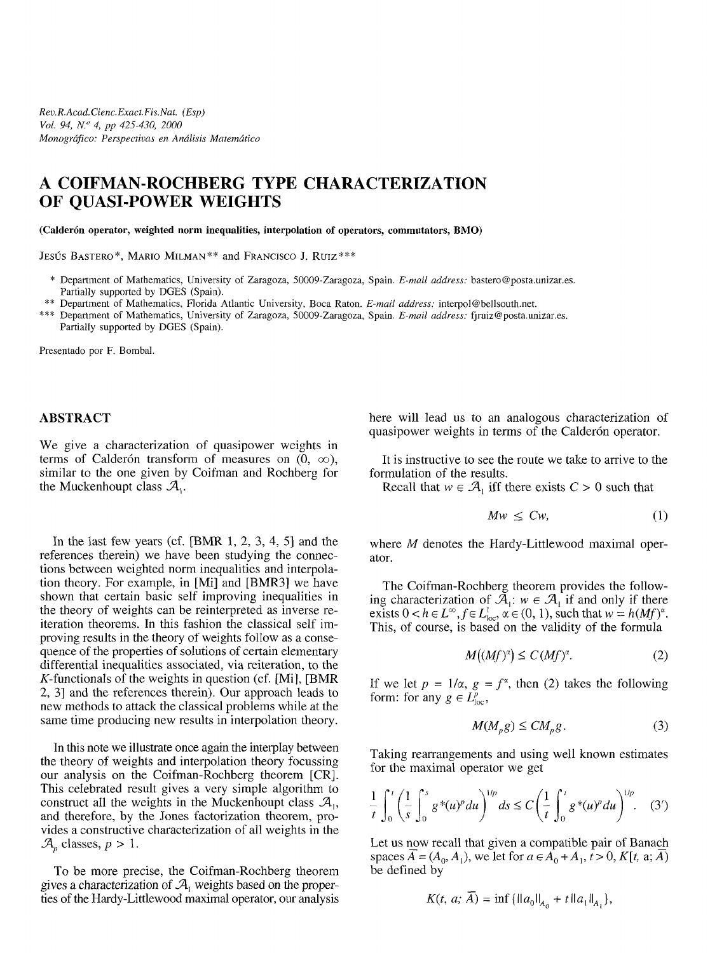## **A COIFMAN-ROCHBERG TYPE CHARACTERIZATION OF QUASI-POWER WEIGHTS**

**(Calderón operator, weighted norm inequalities, interpolation of operators, commutators, BMO)**

JESÚS BASTERO\*, MARIO MILMAN\*\* and FRANCISCO J. Ruiz\*\*\*

- \* Department of Mathematics, University of Zaragoza, 50009-Zaragoza, Spain. *E-mail address:* bastero@posta.unizar.es. Partially supported by DOES (Spain).
- \*\* Department of Mathematics, Florida Atlantic University, Boca Raton. *E-mail address:* interpol@bellsouth.net.
- \*\*\* Department of Mathematics, University of Zaragoza, 50009-Zaragoza, Spain. *E-mail address:* fjruiz@posta.unizar.es. Partially supported by DOES (Spain).

Presentado por F. Bombai.

## **ABSTRACT**

We give a characterization of quasipower weights in terms of Calderón transform of measures on  $(0, \infty)$ , similar to the one given by Coifman and Rochberg for the Muckenhoupt class  $\mathcal{A}_1$ .

In the last few years (cf. [BMR 1, 2, 3, 4, 5] and the references therein) we have been studying the connections between weighted norm inequalities and interpolation theory. For example, in [Mi] and [BMR3] we have shown that certain basic self improving inequalities in the theory of weights can be reinterpreted as inverse reiteration theorems. In this fashion the classical self improving results in the theory of weights follow as a consequence of the properties of solutions of certain elementary differential inequalities associated, via reiteration, to the  $K$ -functionals of the weights in question (cf. [Mi], [BMR] 2, 3] and the references therein). Our approach leads to new methods to attack the classical problems while at the same time producing new results in interpolation theory.

In this note we illustrate once again the interplay between the theory of weights and interpolation theory focussing our analysis on the Coifman-Rochberg theorem [CR]. This celebrated result gives a very simple algorithm to construct all the weights in the Muckenhoupt class  $\mathcal{A}_{1}$ , and therefore, by the Jones factorization theorem, provides a constructive characterization of all weights in the  $\mathcal{A}_p$  classes,  $p > 1$ .

To be more precise, the Coifman-Rochberg theorem gives a characterization of *JA¡* weights based on the properties of the Hardy-Littlewood maximal operator, our analysis here will lead us to an analogous characterization of quasipower weights in terms of the Calderón operator.

It is instructive to see the route we take to arrive to the formulation of the results.

Recall that  $w \in A_1$  iff there exists  $C > 0$  such that

$$
Mw \leq Cw,\tag{1}
$$

where *M* denotes the Hardy-Littlewood maximal operator.

The Coifman-Rochberg theorem provides the following characterization of  $\mathcal{A}_1$ :  $w \in \mathcal{A}_1$  if and only if there exists  $0 < h \in L^{\infty}$ ,  $f \in L^{1}_{loc}$ ,  $\alpha \in (0, 1)$ , such that  $w = h(Mf)^{\alpha}$ . This, of course, is based on the validity of the formula

$$
M\big((Mf)^{\alpha}\big) \le C\,(Mf)^{\alpha}.\tag{2}
$$

If we let  $p = 1/\alpha$ ,  $g = f^{\alpha}$ , then (2) takes the following form: for any  $g \in L^p_{loc}$ ,

$$
M(M_p g) \leq C M_p g. \tag{3}
$$

Taking rearrangements and using well known estimates for the maximal operator we get

$$
\frac{1}{t}\int_0^t \left(\frac{1}{s}\int_0^s g^*(u)^p du\right)^{1/p} ds \le C\left(\frac{1}{t}\int_0^t g^*(u)^p du\right)^{1/p}.
$$
 (3')

Let us now recall that given a compatible pair of Banach spaces  $\overline{A} = (A_0, A_1)$ , we let for  $a \in A_0^+ + A_1, t > 0, K[t, a; \overline{A}]$ be defined by

$$
K(t, a; \overline{A}) = \inf \{ ||a_0||_{A_0} + t ||a_1||_{A_1} \},
$$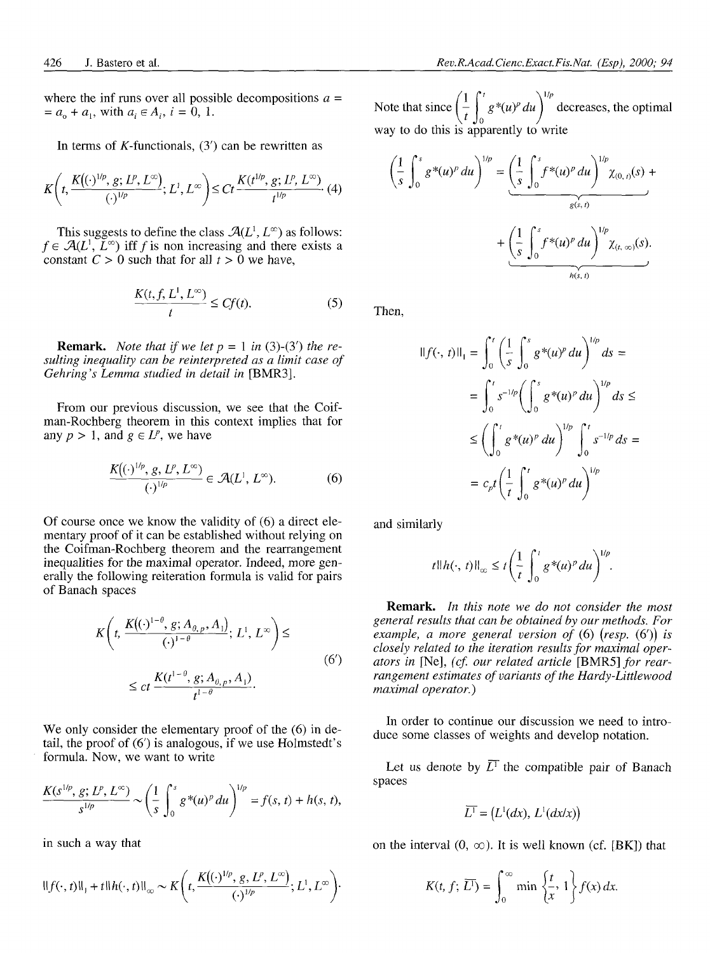where the inf runs over all possible decompositions  $a =$  $= a_0 + a_1$ , with  $a_i \in A_i$ ,  $i = 0, 1$ .

In terms of  $K$ -functionals,  $(3')$  can be rewritten as

$$
K\left(t,\frac{K\left((\cdot)^{1/p}, g; L^p, L^{\infty}\right)}{(\cdot)^{1/p}}; L^1, L^{\infty}\right) \leq Ct\frac{K(t^{1/p}, g; L^p, L^{\infty})}{t^{1/p}}.
$$
 (4)

This suggests to define the class  $\mathcal{A}(L^1, L^\infty)$  as follows: This suggests to define the class  $\mathcal{A}(L, L^6)$  as follows.<br> $f \in \mathcal{A}(L^1, L^{\infty})$  iff f is non increasing and there exists a constant  $C > 0$  such that for all  $t > 0$  we have,

$$
\frac{K(t, f, L^1, L^{\infty})}{t} \le Cf(t).
$$
 (5)

**Remark.** *Note that if we let*  $p = 1$  *in* (3)-(3') *the resulting inequality can be reinterpreted as a limit case of Gehring's Lemma studied in detail in* [BMR3].

From our previous discussion, we see that the Coifman-Rochberg theorem in this context implies that for any  $p > 1$ , and  $g \in L^p$ , we have

$$
\frac{K\left((\cdot)^{1/p}, g, L^p, L^{\infty}\right)}{(\cdot)^{1/p}} \in \mathcal{A}(L^1, L^{\infty}).
$$
 (6)

Of course once we know the validity of (6) a direct elementary proof of it can be established without relying on the Coifman-Rochberg theorem and the rearrangement inequalities for the maximal operator. Indeed, more generally the following reiteration formula is valid for pairs of Banach spaces

$$
K\left(t, \frac{K\left((\cdot)^{1-\theta}, g; A_{\theta, p}, A_{1}\right)}{(\cdot)^{1-\theta}}; L^{1}, L^{\infty}\right) \leq
$$
  

$$
\leq ct \frac{K(t^{1-\theta}, g; A_{\theta, p}, A_{1})}{t^{1-\theta}}.
$$
 (6')

We only consider the elementary proof of the  $(6)$  in detail, the proof of (6') is analogous, if we use Holmstedt's formula. Now, we want to write

$$
\frac{K(s^{1/p}, g; L^p, L^{\infty})}{s^{1/p}} \sim \left(\frac{1}{s} \int_0^s g^*(u)^p du\right)^{1/p} = f(s, t) + h(s, t),
$$

in such a way that

$$
\|f(\cdot,t)\|_{1} + t\|h(\cdot,t)\|_{\infty} \sim K\left(t, \frac{K\left((\cdot)^{1/p}, g, L^{p}, L^{\infty}\right)}{(\cdot)^{1/p}}; L^{1}, L^{\infty}\right).
$$
  $K(t, f; \overline{L^{1}}) = \int_{0}^{\infty} \min\left\{\frac{t}{x}, 1\right\} f(x) dx.$ 

 $\left(1 \int_0^t e^{-\frac{2\pi i}{\hbar}} \sqrt{y} \, dx\right)^{1/p}$ Note that since  $\left(\frac{1}{t}\right)$  *g*<sup>\*</sup>(*u*)<sup>*p*</sup> *du* $\left(\frac{1}{t}\right)$  decreases, the optimal way to do this is apparently to write

$$
\left(\frac{1}{s}\int_{0}^{s} g^{*}(u)^{p} du\right)^{1/p} = \underbrace{\left(\frac{1}{s}\int_{0}^{s} f^{*}(u)^{p} du\right)^{1/p}}_{g(s,t)} \chi_{(0, t)}(s) + \underbrace{\left(\frac{1}{s}\int_{0}^{s} f^{*}(u)^{p} du\right)^{1/p}}_{h(s,t)} \chi_{(t, \infty)}(s).
$$

Then,

$$
\begin{aligned} \n\|f(\cdot, t)\|_{1} &= \int_{0}^{t} \left(\frac{1}{s} \int_{0}^{s} g^{*}(u)^{p} \, du\right)^{1/p} \, ds = \\ \n&= \int_{0}^{t} s^{-1/p} \left(\int_{0}^{s} g^{*}(u)^{p} \, du\right)^{1/p} \, ds \le \\ \n&\le \left(\int_{0}^{t} g^{*}(u)^{p} \, du\right)^{1/p} \int_{0}^{t} s^{-1/p} \, ds = \\ \n&= c_{p} t \left(\frac{1}{t} \int_{0}^{t} g^{*}(u)^{p} \, du\right)^{1/p} \n\end{aligned}
$$

and similarly

$$
t||h(\cdot, t)||_{\infty} \leq t \left(\frac{1}{t} \int_0^t g^*(u)^p du\right)^{1/p}.
$$

**Remark.** *In this note we do not consider the most general results that can be obtained by our methods. For example, a more general version of* (6) *(resp.* (6')) *is closely related to the iteration results for maximal oper*ators in [Ne], (cf. our related article [BMR5] for rear*rangement estimates of variants of the Hardy-Littlewood maximal operator.)*

In order to continue our discussion we need to introduce some classes of weights and develop notation.

Let us denote by  $\overline{L}^T$  the compatible pair of Banach spaces

$$
\overline{L^1} = (L^1(dx), L^1(dx/x))
$$

on the interval  $(0, \infty)$ . It is well known (cf. [BK]) that

$$
K(t, f; \overline{L^{1}}) = \int_{0}^{\infty} \min \left\{ \frac{t}{x}, 1 \right\} f(x) dx
$$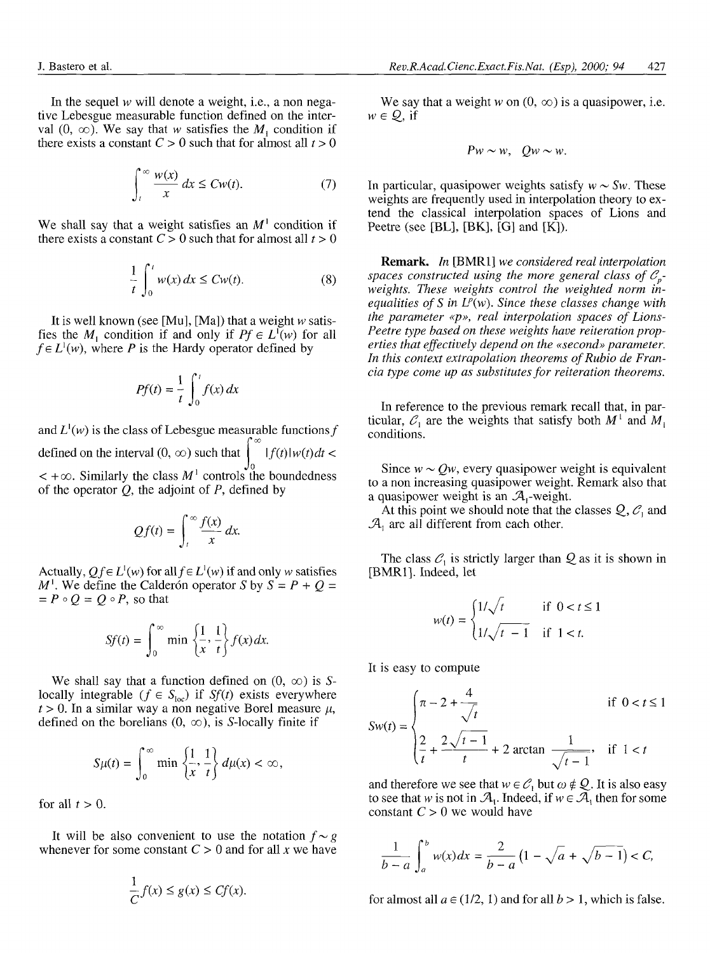In the sequel *w* will denote a weight, i.e., a non negative Lebesgue measurable function defined on the interval  $(0, \infty)$ . We say that w satisfies the  $M_1$  condition if there exists a constant  $C > 0$  such that for almost all  $t > 0$ 

$$
\int_{t}^{\infty} \frac{w(x)}{x} dx \le Cw(t). \tag{7}
$$

We shall say that a weight satisfies an  $M<sup>1</sup>$  condition if there exists a constant  $C > 0$  such that for almost all  $t > 0$ 

$$
\frac{1}{t} \int_0^t w(x) dx \le Cw(t). \tag{8}
$$

It is well known (see [Mu], [Ma]) that a weight *w* satisfies the  $M_1$  condition if and only if  $Pf \in L^1(w)$  for all  $f \in L^1(w)$ , where *P* is the Hardy operator defined by

$$
Pf(t) = \frac{1}{t} \int_0^t f(x) \, dx
$$

and  $L^1(w)$  is the class of Lebesgue measurable functions f ua<br>∩∞ defined on the interval  $(0, \infty)$  such that  $\int_{0}^{1} |f(t)| w(t) dt <$  $\lt$  + $\infty$ . Similarly the class  $M<sup>1</sup>$  controls the boundedness of the operator *Q,* the adjoint of *P,* defined by

$$
Qf(t) = \int_{t}^{\infty} \frac{f(x)}{x} dx.
$$

Actually,  $Qf \in L^1(w)$  for all  $f \in L^1(w)$  if and only w satisfies  $M<sup>1</sup>$ . We define the Calderón operator *S* by  $S = P + Q =$  $P \circ Q = Q \circ P$ , so that

$$
Sf(t) = \int_0^\infty \min\left\{\frac{1}{x}, \frac{1}{t}\right\} f(x) dx.
$$

We shall say that a function defined on  $(0, \infty)$  is Slocally integrable ( $f \in S_{\text{loc}}$ ) if  $Sf(t)$  exists everywhere  $t > 0$ . In a similar way a non negative Borel measure  $\mu$ , defined on the borelians  $(0, \infty)$ , is S-locally finite if

$$
S\mu(t) = \int_0^\infty \min\left\{\frac{1}{x}, \frac{1}{t}\right\} d\mu(x) < \infty,
$$

for all  $t > 0$ .

It will be also convenient to use the notation  $f \sim g$ whenever for some constant  $C > 0$  and for all x we have

$$
\frac{1}{C}f(x) \le g(x) \le Cf(x).
$$

We say that a weight  $w$  on  $(0, \infty)$  is a quasipower, i.e.  $w \in \mathcal{Q}$ , if

$$
Pw \sim w, \quad Qw \sim w.
$$

In particular, quasipower weights satisfy  $w \sim Sw$ . These weights are frequently used in interpolation theory to extend the classical interpolation spaces of Lions and Peetre (see [BL], [BK], [G] and [K]).

**Remark.** *In* [BMR1] *we considered real interpolation* spaces constructed using the more general class of  $C_p$ *weights. These weights control the weighted norm inequalities of S in L<sup>p</sup> (w). Since these classes change with the parameter «p», real interpolation spaces of Lions-Peetre type based on these weights have reiteration properties that effectively depend on the «second» parameter. In this context extrapolation theorems of Rubio de Francia type come up as substitutes for reiteration theorems.*

In reference to the previous remark recall that, in particular,  $\mathcal{C}_1$  are the weights that satisfy both  $M^1$  and  $M_1$ conditions.

Since  $w \sim Qw$ , every quasipower weight is equivalent to a non increasing quasipower weight. Remark also that a quasipower weight is an  $\mathcal{A}_1$ -weight.

At this point we should note that the classes  $Q, C<sub>1</sub>$  and  $\mathcal{A}_1$  are all different from each other.

The class  $C_1$  is strictly larger than  $Q$  as it is shown in [BMR1]. Indeed, let

$$
w(t) = \begin{cases} 1/\sqrt{t} & \text{if } 0 < t \le 1 \\ 1/\sqrt{t - 1} & \text{if } 1 < t. \end{cases}
$$

It is easy to compute

$$
Sw(t) = \begin{cases} \pi - 2 + \frac{4}{\sqrt{t}} & \text{if } 0 < t \le 1 \\ \frac{2}{t} + \frac{2\sqrt{t - 1}}{t} + 2 \arctan \frac{1}{\sqrt{t - 1}}, & \text{if } 1 < t \end{cases}
$$

and therefore we see that  $w \in C_1$  but  $\omega \notin Q$ . It is also easy to see that *w* is not in  $\mathcal{A}_1$ . Indeed, if  $w \in \mathcal{A}_1$  then for some constant *C >* 0 we would have

$$
\frac{1}{b-a}\int_{a}^{b}w(x)dx = \frac{2}{b-a}(1-\sqrt{a}+\sqrt{b-1}) < C,
$$

for almost all  $a \in (1/2, 1)$  and for all  $b > 1$ , which is false.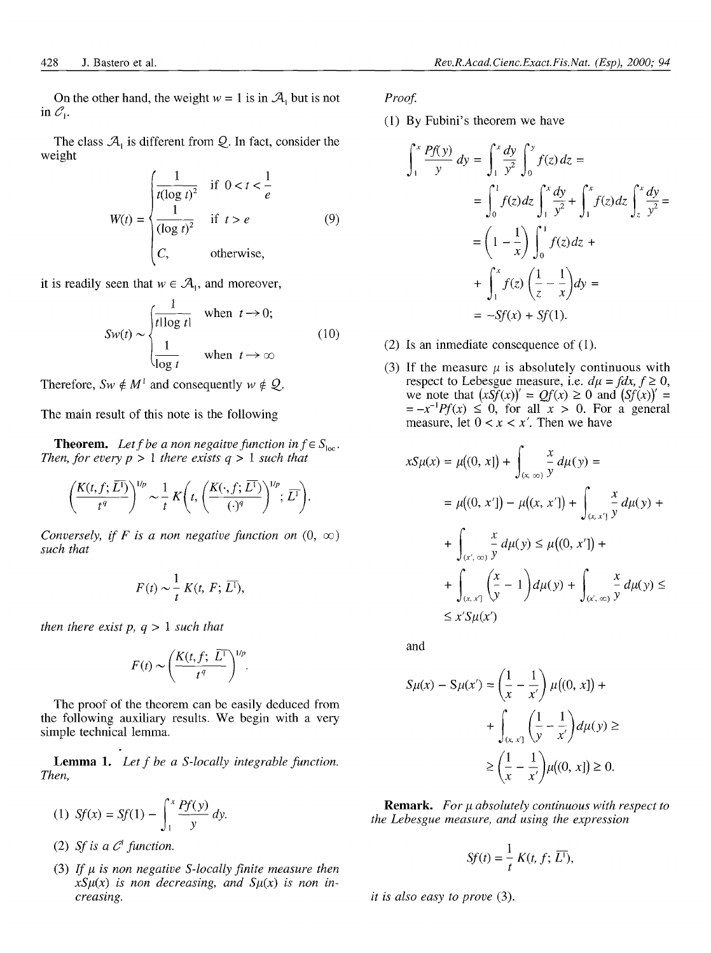On the other hand, the weight  $w = 1$  is in  $\mathcal{A}_i$  but is not in  $\mathcal{C}_1$ .

The class  $\mathcal{A}_1$  is different from  $\mathcal{Q}$ . In fact, consider the weight

$$
W(t) = \begin{cases} \frac{1}{t(\log t)^2} & \text{if } 0 < t < \frac{1}{e} \\ \frac{1}{(\log t)^2} & \text{if } t > e \\ C, & \text{otherwise,} \end{cases} \tag{9}
$$

it is readily seen that  $w \in A_1$ , and moreover,

$$
Sw(t) \sim \begin{cases} \frac{1}{t \log t} & \text{when } t \to 0; \\ \frac{1}{\log t} & \text{when } t \to \infty \end{cases} \tag{10}
$$

Therefore,  $Sw \notin M^1$  and consequently  $w \notin Q$ .

The main result of this note is the following

**Theorem.** Let f be a non negative function in  $f \in S_{loc}$ . *Then, for every*  $p > 1$  *there exists*  $q > 1$  *such that* 

$$
\left(\frac{K(t, f; \overline{L^{1}})}{t^{q}}\right)^{1/p} \sim \frac{1}{t} K\left(t, \left(\frac{K(\cdot, f; \overline{L^{1}})}{(\cdot)^{q}}\right)^{1/p}; \overline{L^{1}}\right).
$$

*Conversely, if F is a non negative function on*  $(0, \infty)$ *such that*

$$
F(t) \sim \frac{1}{t} K(t, F; \overline{L^1}),
$$

 $\overline{a}$ 

*then there exist p, q >* 1 *such that*

$$
F(t) \sim \left(\frac{K(t, f; \ \overline{L^1})}{t^q}\right)^{1/p}.
$$

The proof of the theorem can be easily deduced from the following auxiliary results. We begin with a very simple technical lemma.

**Lemma 1.** *Let f be a S-locally integrable function. Then,*

(1) 
$$
Sf(x) = Sf(1) - \int_1^x \frac{Pf(y)}{y} dy
$$
.

(2) Sf is a  $C^{\dagger}$  function.

(3) If  $\mu$  is non negative S-locally finite measure then  $x\mathcal{S}\mu(x)$  is non decreasing, and  $\mathcal{S}\mu(x)$  is non in*creasing.*

*Proof.*

(1) By Fubini's theorem we have

$$
\int_{1}^{x} \frac{Pf(y)}{y} dy = \int_{1}^{x} \frac{dy}{y^{2}} \int_{0}^{y} f(z) dz =
$$
  
= 
$$
\int_{0}^{1} f(z) dz \int_{1}^{x} \frac{dy}{y^{2}} + \int_{1}^{x} f(z) dz \int_{z}^{x} \frac{dy}{y^{2}} =
$$
  
= 
$$
\left(1 - \frac{1}{x}\right) \int_{0}^{1} f(z) dz +
$$
  
+ 
$$
\int_{1}^{x} f(z) \left(\frac{1}{z} - \frac{1}{x}\right) dy =
$$
  
= 
$$
-Sf(x) + Sf(1).
$$

- (2) Is an inmediate consequence of (1).
- (3) If the measure  $\mu$  is absolutely continuous with respect to Lebesgue measure, i.e.  $d\mu = f dx, f \ge 0$ , we note that  $(xSf(x))' = Qf(x) \ge 0$  and  $(Sf(x))' =$  $=-x^{-1}Pf(x) \leq 0$ , for all  $x > 0$ . For a general measure, let  $0 < x < x'$ . Then we have

$$
xS\mu(x) = \mu((0, x]) + \int_{(x, \infty)} \frac{x}{y} d\mu(y) =
$$
  
=  $\mu((0, x']) - \mu((x, x']) + \int_{(x, x']} \frac{x}{y} d\mu(y) +$   
+  $\int_{(x', \infty)} \frac{x}{y} d\mu(y) \le \mu((0, x']) +$   
+  $\int_{(x, x']} \left(\frac{x}{y} - 1\right) d\mu(y) + \int_{(x', \infty)} \frac{x}{y} d\mu(y) \le$   
 $\le x'S\mu(x')$ 

and

$$
S\mu(x) - S\mu(x') = \left(\frac{1}{x} - \frac{1}{x'}\right)\mu((0, x]) +
$$

$$
+ \int_{(x, x]} \left(\frac{1}{y} - \frac{1}{x'}\right)d\mu(y) \ge
$$

$$
\ge \left(\frac{1}{x} - \frac{1}{x'}\right)\mu((0, x]) \ge 0.
$$

**Remark.** *For \i absolutely continuous with respect to the Lebesgue measure, and using the expression*

$$
Sf(t) = \frac{1}{t} K(t, f; \overline{L^1}),
$$

*it is also easy to prove* (3).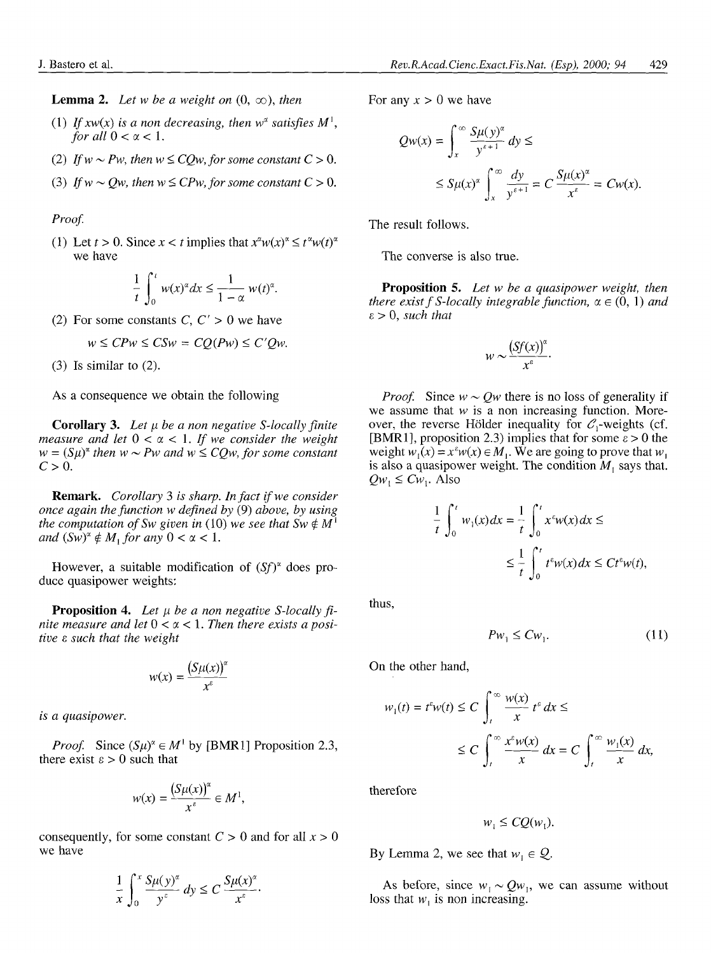**Lemma 2.** Let w be a weight on  $(0, \infty)$ , then

- (1) If  $xw(x)$  is a non decreasing, then  $w^{\alpha}$  satisfies  $M^1$ , *for all*  $0 < \alpha < 1$ *.*
- (2) If  $w \sim Pw$ , then  $w \leq CQw$ , for some constant  $C > 0$ .
- (3) If  $w \sim Qw$ , then  $w \leq CPw$ , for some constant  $C > 0$ .

*Proof.*

(1) Let  $t > 0$ . Since  $x < t$  implies that  $x^{\alpha}w(x)^{\alpha} \le t^{\alpha}w(t)^{\alpha}$ we have

$$
\frac{1}{t}\int_0^t w(x)^{\alpha}dx \le \frac{1}{1-\alpha} w(t)^{\alpha}.
$$

(2) For some constants  $C, C' > 0$  we have

$$
w \leq CPw \leq CSw = CQ(Pw) \leq C'Qw.
$$

(3) Is similar to (2).

As a consequence we obtain the following

**Corollary 3.** Let  $\mu$  be a non negative S-locally finite *measure and let*  $0 < \alpha < 1$ *. If we consider the weight*  $w = (S\mu)^{\alpha}$  then  $w \sim Pw$  and  $w \leq CQw$ , for some constant  $C>0$ .

**Remark.** *Corollary 3 is sharp. In fact if we consider once again the function w defined by* (9) *above, by using the computation of Sw given in* (10) we see that  $Sw \notin M^1$ *and*  $(Sw)^{\alpha} \notin M$ , *for any*  $0 < \alpha < 1$ .

However, a suitable modification of  $(Sf)^\alpha$  does produce quasipower weights:

**Proposition 4.** *Let u be a non negative S-locally fi*nite measure and let  $0 < \alpha < 1$ . Then there exists a posi*tive* e *such that the weight*

$$
w(x) = \frac{(S\mu(x))^{\alpha}}{x^{\epsilon}}
$$

*is a quasipower.*

*Proof.* Since  $(S\mu)^{\alpha} \in M^1$  by [BMR1] Proposition 2.3, there exist  $\epsilon > 0$  such that

$$
w(x) = \frac{(S\mu(x))^{\alpha}}{x^{\epsilon}} \in M^1,
$$

consequently, for some constant *C >* 0 and for all *x >* 0 we have

$$
\frac{1}{x}\int_0^x \frac{S\mu(y)^{\alpha}}{y^{\epsilon}} dy \leq C \frac{S\mu(x)^{\alpha}}{x^{\epsilon}}.
$$

For any  $x > 0$  we have

$$
Qw(x) = \int_{x}^{\infty} \frac{S\mu(y)^{\alpha}}{y^{\alpha+1}} dy \le
$$
  

$$
\leq S\mu(x)^{\alpha} \int_{x}^{\infty} \frac{dy}{y^{\alpha+1}} = C \frac{S\mu(x)^{\alpha}}{x^{\alpha}} = Cw(x).
$$

The result follows.

The converse is also true.

**Proposition** 5. *Let w be a quasipower weight, then there exist f S-locally integrable function,*  $\alpha \in (0, 1)$  *and*  $\varepsilon > 0$ , *such that* 

$$
w \sim \frac{\left(Sf(x)\right)^{\alpha}}{x^{\epsilon}}.
$$

*Proof.* Since  $w \sim Qw$  there is no loss of generality if we assume that  $w$  is a non increasing function. Moreover, the reverse Hölder inequality for  $C_1$ -weights (cf. [BMR1], proposition 2.3) implies that for some  $\varepsilon > 0$  the weight  $w_1(x) = x^2w(x) \in M_1$ . We are going to prove that  $w_1$ is also a quasipower weight. The condition  $M_1$  says that.  $Qw_1 \leq Cw_1$ . Also

$$
\frac{1}{t} \int_0^t w_1(x) dx = \frac{1}{t} \int_0^t x^2 w(x) dx \le
$$
  

$$
\le \frac{1}{t} \int_0^t t^2 w(x) dx \le Ct^2 w(t),
$$

thus,

$$
Pw_1 \leq Cw_1. \tag{11}
$$

On the other hand,

$$
w_1(t) = t^{\varepsilon} w(t) \le C \int_t^{\infty} \frac{w(x)}{x} t^{\varepsilon} dx \le
$$
  

$$
\le C \int_t^{\infty} \frac{x^{\varepsilon} w(x)}{x} dx = C \int_t^{\infty} \frac{w_1(x)}{x} dx,
$$

therefore

$$
w_1 \leq CQ(w_1).
$$

By Lemma 2, we see that  $w_1 \in Q$ .

As before, since  $w_1 \sim Qw_1$ , we can assume without loss that  $w_1$  is non increasing.